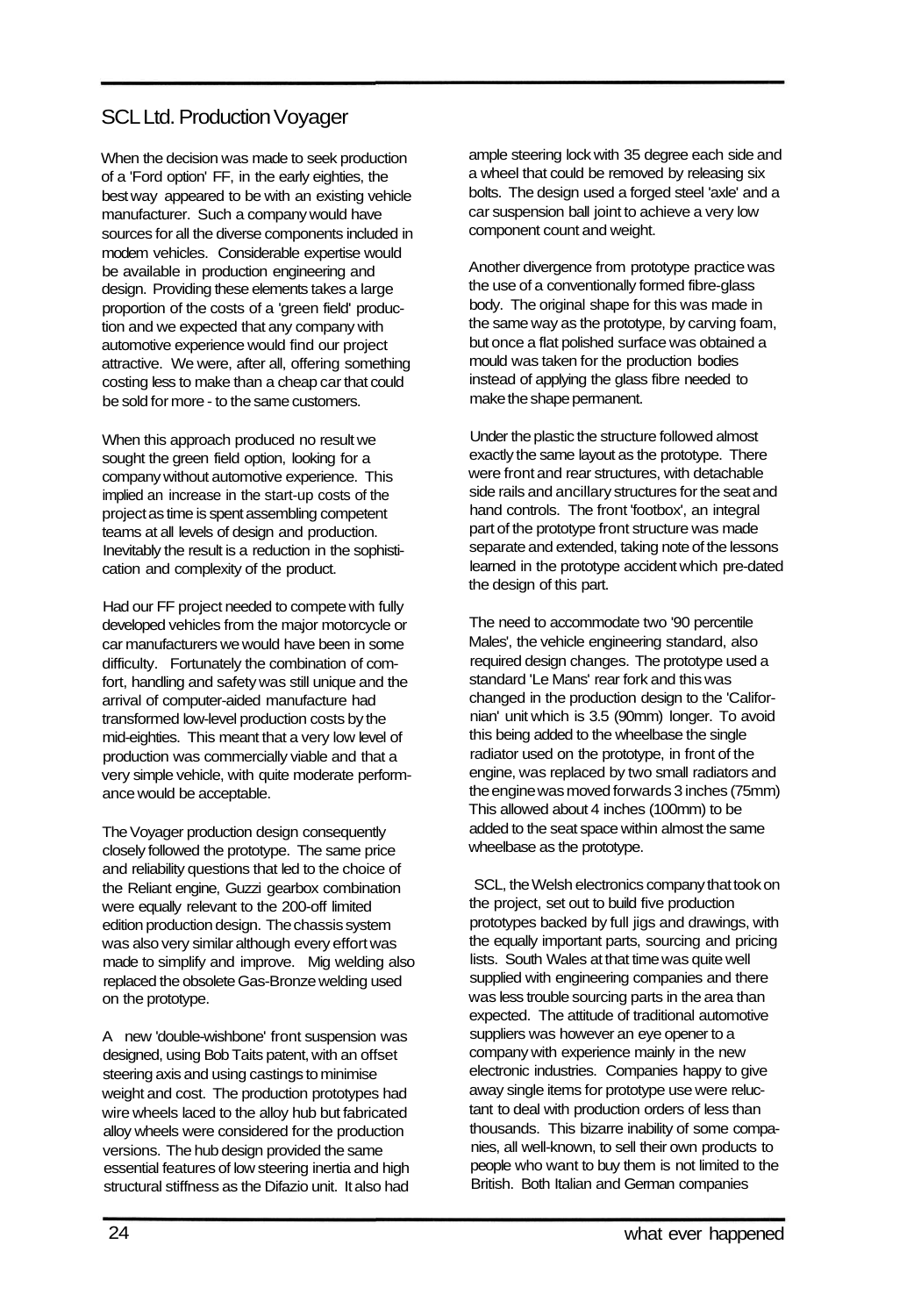## SCL Ltd. Production Voyager

When the decision was made to seek production of a 'Ford option' FF, in the early eighties, the best way appeared to be with an existing vehicle manufacturer. Such a company would have sources for all the diverse components included in modem vehicles. Considerable expertise would be available in production engineering and design. Providing these elements takes a large proportion of the costs of a 'green field' production and we expected that any company with automotive experience would find our project attractive. We were, after all, offering something costing less to make than a cheap car that could be sold for more - to the same customers.

When this approach produced no result we sought the green field option, looking for a company without automotive experience. This implied an increase in the start-up costs of the project as time is spent assembling competent teams at all levels of design and production. Inevitably the result is a reduction in the sophistication and complexity of the product.

Had our FF project needed to compete with fully developed vehicles from the major motorcycle or car manufacturers we would have been in some difficulty. Fortunately the combination of comfort, handling and safety was still unique and the arrival of computer-aided manufacture had transformed low-level production costs by the mid-eighties. This meant that a very low level of production was commercially viable and that a very simple vehicle, with quite moderate performance would be acceptable.

The Voyager production design consequently closely followed the prototype. The same price and reliability questions that led to the choice of the Reliant engine, Guzzi gearbox combination were equally relevant to the 200-off limited edition production design. The chassis system was also very similar although every effort was made to simplify and improve. Mig welding also replaced the obsolete Gas-Bronze welding used on the prototype.

A new 'double-wishbone' front suspension was designed, using Bob Taits patent, with an offset steering axis and using castings to minimise weight and cost. The production prototypes had wire wheels laced to the alloy hub but fabricated alloy wheels were considered for the production versions. The hub design provided the same essential features of low steering inertia and high structural stiffness as the Difazio unit. It also had

ample steering lock with 35 degree each side and a wheel that could be removed by releasing six bolts. The design used a forged steel 'axle' and a car suspension ball joint to achieve a very low component count and weight.

Another divergence from prototype practice was the use of a conventionally formed fibre-glass body. The original shape for this was made in the same way as the prototype, by carving foam, but once a flat polished surface was obtained a mould was taken for the production bodies instead of applying the glass fibre needed to make the shape permanent.

Under the plastic the structure followed almost exactly the same layout as the prototype. There were front and rear structures, with detachable side rails and ancillary structures for the seat and hand controls. The front 'footbox', an integral part of the prototype front structure was made separate and extended, taking note of the lessons learned in the prototype accident which pre-dated the design of this part.

The need to accommodate two '90 percentile Males', the vehicle engineering standard, also required design changes. The prototype used a standard 'Le Mans' rear fork and this was changed in the production design to the 'Californian' unit which is 3.5 (90mm) longer. To avoid this being added to the wheelbase the single radiator used on the prototype, in front of the engine, was replaced by two small radiators and the engine was moved forwards 3 inches (75mm) This allowed about 4 inches (100mm) to be added to the seat space within almost the same wheelbase as the prototype.

SCL, the Welsh electronics company that took on the project, set out to build five production prototypes backed by full jigs and drawings, with the equally important parts, sourcing and pricing lists. South Wales at that time was quite well supplied with engineering companies and there was less trouble sourcing parts in the area than expected. The attitude of traditional automotive suppliers was however an eye opener to a company with experience mainly in the new electronic industries. Companies happy to give away single items for prototype use were reluctant to deal with production orders of less than thousands. This bizarre inability of some companies, all well-known, to sell their own products to people who want to buy them is not limited to the British. Both Italian and German companies